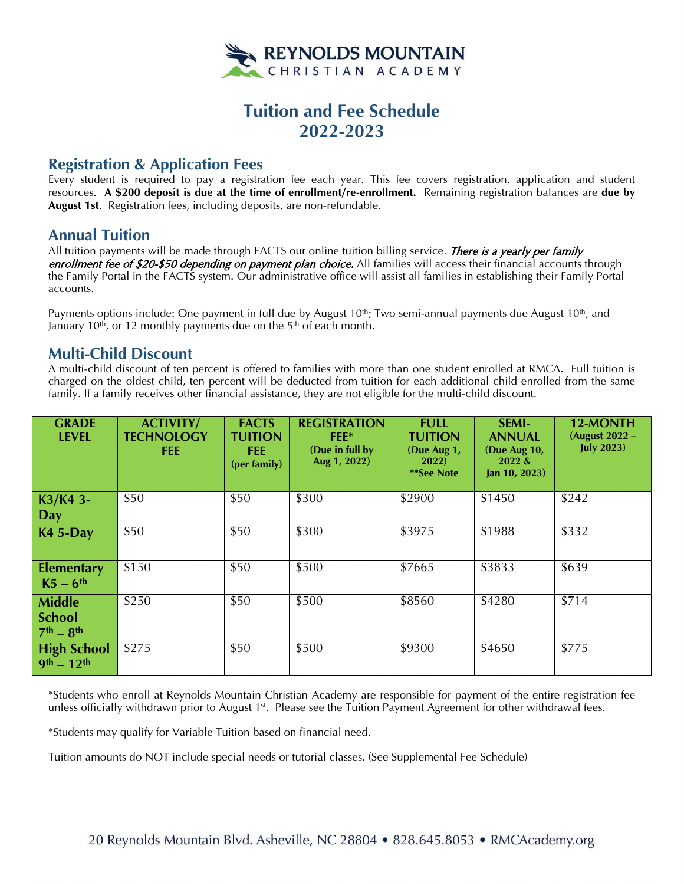

# **Tuition and Fee Schedule 2022-2023**

## **Registration & Application Fees**

Every student is required to pay a registration fee each year. This fee covers registration, application and student resources. **A \$200 deposit is due at the time of enrollment/re-enrollment.** Remaining registration balances are **due by August 1st**. Registration fees, including deposits, are non-refundable.

# **Annual Tuition**

All tuition payments will be made through FACTS our online tuition billing service. There is a yearly per family enrollment fee of \$20-\$50 depending on payment plan choice. All families will access their financial accounts through the Family Portal in the FACTS system. Our administrative office will assist all families in establishing their Family Portal accounts.

Payments options include: One payment in full due by August 10<sup>th</sup>; Two semi-annual payments due August 10<sup>th</sup>, and January 10<sup>th</sup>, or 12 monthly payments due on the 5<sup>th</sup> of each month.

### **Multi-Child Discount**

A multi-child discount of ten percent is offered to families with more than one student enrolled at RMCA. Full tuition is charged on the oldest child, ten percent will be deducted from tuition for each additional child enrolled from the same family. If a family receives other financial assistance, they are not eligible for the multi-child discount.

| <b>GRADE</b><br><b>LEVEL</b>                  | <b>ACTIVITY/</b><br><b>TECHNOLOGY</b><br><b>FEE</b> | <b>FACTS</b><br><b>TUITION</b><br>FEE:<br>(per family) | <b>REGISTRATION</b><br>FEE*<br>(Due in full by<br>Aug 1, 2022) | <b>FULL</b><br><b>TUITION</b><br>(Due Aug 1,<br><b>2022</b> )<br>**See Note | <b>SEMI-</b><br><b>ANNUAL</b><br>(Due Aug 10,<br>2022 &<br>Jan $10, 2023$ | 12-MONTH<br>(August 2022 -<br><b>July 2023)</b> |
|-----------------------------------------------|-----------------------------------------------------|--------------------------------------------------------|----------------------------------------------------------------|-----------------------------------------------------------------------------|---------------------------------------------------------------------------|-------------------------------------------------|
| K3/K4 3-<br>Day                               | \$50                                                | \$50                                                   | \$300                                                          | \$2900                                                                      | \$1450                                                                    | \$242                                           |
| <b>K4 5-Day</b>                               | \$50                                                | \$50                                                   | \$300                                                          | \$3975                                                                      | \$1988                                                                    | \$332                                           |
| <b>Elementary</b><br>$K5-6$ <sup>th</sup>     | \$150                                               | \$50                                                   | \$500                                                          | \$7665                                                                      | \$3833                                                                    | \$639                                           |
| <b>Middle</b><br><b>School</b><br>$7th - 8th$ | \$250                                               | \$50                                                   | \$500                                                          | \$8560                                                                      | \$4280                                                                    | \$714                                           |
| <b>High School</b><br>$9th - 12th$            | \$275                                               | \$50                                                   | \$500                                                          | \$9300                                                                      | \$4650                                                                    | \$775                                           |

\*Students who enroll at Reynolds Mountain Christian Academy are responsible for payment of the entire registration fee unless officially withdrawn prior to August 1<sup>st</sup>. Please see the Tuition Payment Agreement for other withdrawal fees.

\*Students may qualify for Variable Tuition based on financial need.

Tuition amounts do NOT include special needs or tutorial classes. (See Supplemental Fee Schedule)